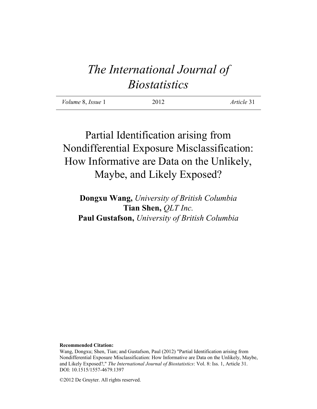# *The International Journal of Biostatistics*

| Volume 8, Issue 1 | 2012 | Article 31 |
|-------------------|------|------------|
|                   |      |            |

# Partial Identification arising from Nondifferential Exposure Misclassification: How Informative are Data on the Unlikely, Maybe, and Likely Exposed?

**Dongxu Wang,** *University of British Columbia* **Tian Shen,** *QLT Inc.* **Paul Gustafson,** *University of British Columbia*

**Recommended Citation:**

Wang, Dongxu; Shen, Tian; and Gustafson, Paul (2012) "Partial Identification arising from Nondifferential Exposure Misclassification: How Informative are Data on the Unlikely, Maybe, and Likely Exposed?," *The International Journal of Biostatistics*: Vol. 8: Iss. 1, Article 31. DOI: 10.1515/1557-4679.1397

©2012 De Gruyter. All rights reserved.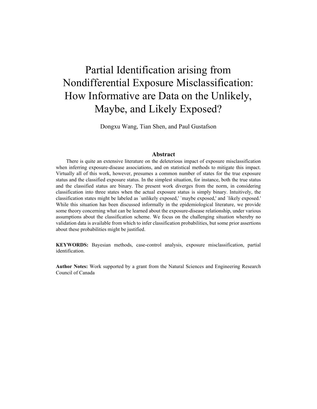# Partial Identification arising from Nondifferential Exposure Misclassification: How Informative are Data on the Unlikely, Maybe, and Likely Exposed?

Dongxu Wang, Tian Shen, and Paul Gustafson

#### **Abstract**

There is quite an extensive literature on the deleterious impact of exposure misclassification when inferring exposure-disease associations, and on statistical methods to mitigate this impact. Virtually all of this work, however, presumes a common number of states for the true exposure status and the classified exposure status. In the simplest situation, for instance, both the true status and the classified status are binary. The present work diverges from the norm, in considering classification into three states when the actual exposure status is simply binary. Intuitively, the classification states might be labeled as `unlikely exposed,' `maybe exposed,' and `likely exposed.' While this situation has been discussed informally in the epidemiological literature, we provide some theory concerning what can be learned about the exposure-disease relationship, under various assumptions about the classification scheme. We focus on the challenging situation whereby no validation data is available from which to infer classification probabilities, but some prior assertions about these probabilities might be justified.

**KEYWORDS:** Bayesian methods, case-control analysis, exposure misclassification, partial identification.

**Author Notes:** Work supported by a grant from the Natural Sciences and Engineering Research Council of Canada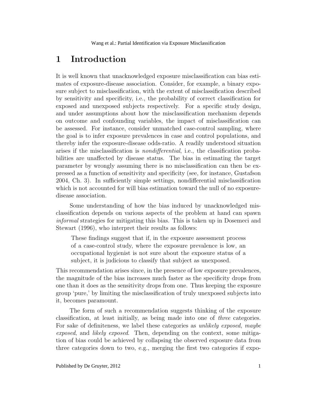## 1 Introduction

It is well known that unacknowledged exposure misclassification can bias estimates of exposure-disease association. Consider, for example, a binary exposure subject to misclassification, with the extent of misclassification described by sensitivity and specificity, i.e., the probability of correct classification for exposed and unexposed subjects respectively. For a specific study design, and under assumptions about how the misclassification mechanism depends on outcome and confounding variables, the impact of misclassification can be assessed. For instance, consider unmatched case-control sampling, where the goal is to infer exposure prevalences in case and control populations, and thereby infer the exposure-disease odds-ratio. A readily understood situation arises if the misclassification is nondifferential, i.e., the classification probabilities are unaffected by disease status. The bias in estimating the target parameter by wrongly assuming there is no misclassification can then be expressed as a function of sensitivity and specificity (see, for instance, Gustafson 2004, Ch. 3). In sufficiently simple settings, nondifferential misclassification which is not accounted for will bias estimation toward the null of no exposuredisease association.

Some understanding of how the bias induced by unacknowledged misclassification depends on various aspects of the problem at hand can spawn informal strategies for mitigating this bias. This is taken up in Dosemeci and Stewart (1996), who interpret their results as follows:

These findings suggest that if, in the exposure assessment process of a case-control study, where the exposure prevalence is low, an occupational hygienist is not sure about the exposure status of a subject, it is judicious to classify that subject as unexposed.

This recommendation arises since, in the presence of low exposure prevalences, the magnitude of the bias increases much faster as the specificity drops from one than it does as the sensitivity drops from one. Thus keeping the exposure group 'pure,' by limiting the misclassification of truly unexposed subjects into it, becomes paramount.

The form of such a recommendation suggests thinking of the exposure classification, at least initially, as being made into one of three categories. For sake of definiteness, we label these categories as *unlikely exposed*, maybe exposed, and likely exposed. Then, depending on the context, some mitigation of bias could be achieved by collapsing the observed exposure data from three categories down to two, e.g., merging the first two categories if expo-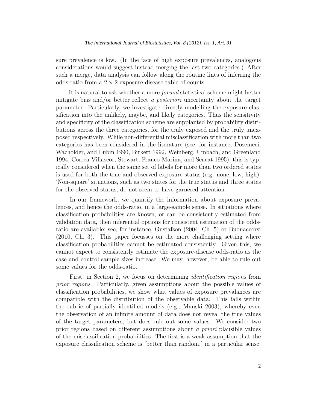sure prevalence is low. (In the face of high exposure prevalences, analogous considerations would suggest instead merging the last two categories.) After such a merge, data analysis can follow along the routine lines of inferring the odds-ratio from a  $2 \times 2$  exposure-disease table of counts.

It is natural to ask whether a more *formal* statistical scheme might better mitigate bias and/or better reflect a posteriori uncertainty about the target parameter. Particularly, we investigate directly modelling the exposure classification into the unlikely, maybe, and likely categories. Thus the sensitivity and specificity of the classification scheme are supplanted by probability distributions across the three categories, for the truly exposed and the truly unexposed respectively. While non-differential misclassification with more than two categories has been considered in the literature (see, for instance, Dosemeci, Wacholder, and Lubin 1990, Birkett 1992, Weinberg, Umbach, and Greenland 1994, Correa-Villaseor, Stewart, Franco-Marina, and Seacat 1995), this is typically considered when the same set of labels for more than two ordered states is used for both the true and observed exposure status (e.g. none, low, high). 'Non-square' situations, such as two states for the true status and three states for the observed status, do not seem to have garnered attention.

In our framework, we quantify the information about exposure prevalences, and hence the odds-ratio, in a large-sample sense. In situations where classification probabilities are known, or can be consistently estimated from validation data, then inferential options for consistent estimation of the oddsratio are available; see, for instance, Gustafson (2004, Ch. 5) or Buonaccorsi (2010, Ch. 3). This paper focusses on the more challenging setting where classification probabilities cannot be estimated consistently. Given this, we cannot expect to consistently estimate the exposure-disease odds-ratio as the case and control sample sizes increase. We may, however, be able to rule out some values for the odds-ratio.

First, in Section 2, we focus on determining *identification regions* from prior regions. Particularly, given assumptions about the possible values of classification probabilities, we show what values of exposure prevalances are compatible with the distribution of the observable data. This falls within the rubric of partially identified models (e.g., Manski 2003), whereby even the observation of an infinite amount of data does not reveal the true values of the target parameters, but does rule out some values. We consider two prior regions based on different assumptions about a *priori* plausible values of the misclassification probabilities. The first is a weak assumption that the exposure classification scheme is 'better than random,' in a particular sense.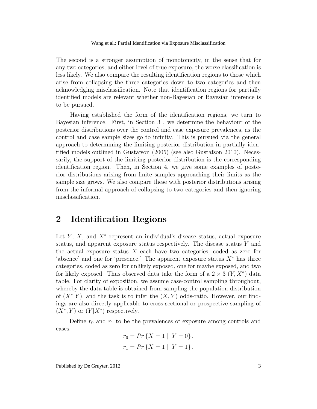The second is a stronger assumption of monotonicity, in the sense that for any two categories, and either level of true exposure, the worse classification is less likely. We also compare the resulting identification regions to those which arise from collapsing the three categories down to two categories and then acknowledging misclassification. Note that identification regions for partially identified models are relevant whether non-Bayesian or Bayesian inference is to be pursued.

Having established the form of the identification regions, we turn to Bayesian inference. First, in Section 3 , we determine the behaviour of the posterior distributions over the control and case exposure prevalences, as the control and case sample sizes go to infinity. This is pursued via the general approach to determining the limiting posterior distribution in partially identified models outlined in Gustafson (2005) (see also Gustafson 2010). Necessarily, the support of the limiting posterior distribution is the corresponding identification region. Then, in Section 4, we give some examples of posterior distributions arising from finite samples approaching their limits as the sample size grows. We also compare these with posterior distributions arising from the informal approach of collapsing to two categories and then ignoring misclassification.

## 2 Identification Regions

Let Y, X, and  $X^*$  represent an individual's disease status, actual exposure status, and apparent exposure status respectively. The disease status Y and the actual exposure status  $X$  each have two categories, coded as zero for 'absence' and one for 'presence.' The apparent exposure status  $X^*$  has three categories, coded as zero for unlikely exposed, one for maybe exposed, and two for likely exposed. Thus observed data take the form of a  $2 \times 3$   $(Y, X^*)$  data table. For clarity of exposition, we assume case-control sampling throughout, whereby the data table is obtained from sampling the population distribution of  $(X^*|Y)$ , and the task is to infer the  $(X, Y)$  odds-ratio. However, our findings are also directly applicable to cross-sectional or prospective sampling of  $(X^*, Y)$  or  $(Y|X^*)$  respectively.

Define  $r_0$  and  $r_1$  to be the prevalences of exposure among controls and cases:

$$
r_0 = Pr\{X = 1 | Y = 0\},\
$$
  

$$
r_1 = Pr\{X = 1 | Y = 1\}.
$$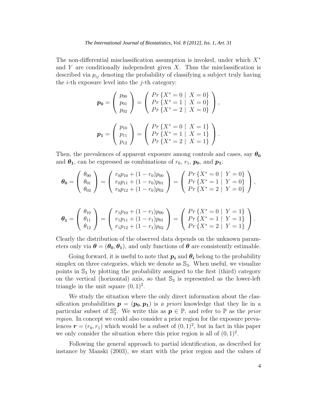The non-differential misclassification assumption is invoked, under which  $X^*$ and Y are conditionally independent given  $X$ . Thus the misclassification is described via  $p_{ij}$  denoting the probability of classifying a subject truly having the *i*-th exposure level into the *j*-th category:

$$
\mathbf{p_0} = \begin{pmatrix} p_{00} \\ p_{01} \\ p_{02} \end{pmatrix} = \begin{pmatrix} Pr\left\{X^* = 0 \mid X = 0\right\} \\ Pr\left\{X^* = 1 \mid X = 0\right\} \\ Pr\left\{X^* = 2 \mid X = 0\right\} \end{pmatrix},
$$
\n
$$
\mathbf{p_1} = \begin{pmatrix} p_{10} \\ p_{11} \\ p_{12} \end{pmatrix} = \begin{pmatrix} Pr\left\{X^* = 0 \mid X = 1\right\} \\ Pr\left\{X^* = 1 \mid X = 1\right\} \\ Pr\left\{X^* = 2 \mid X = 1\right\} \end{pmatrix}.
$$

Then, the prevalences of apparent exposure among controls and cases, say  $\theta_0$ and  $\theta_1$ , can be expressed as combinations of  $r_0$ ,  $r_1$ ,  $p_0$ , and  $p_1$ :

$$
\boldsymbol{\theta_0} = \begin{pmatrix} \theta_{00} \\ \theta_{01} \\ \theta_{02} \end{pmatrix} = \begin{pmatrix} r_0 p_{10} + (1 - r_0) p_{00} \\ r_0 p_{11} + (1 - r_0) p_{01} \\ r_0 p_{12} + (1 - r_0) p_{02} \end{pmatrix} = \begin{pmatrix} Pr\{X^* = 0 \mid Y = 0\} \\ Pr\{X^* = 1 \mid Y = 0\} \\ Pr\{X^* = 2 \mid Y = 0\} \end{pmatrix},
$$

$$
\boldsymbol{\theta_1} = \begin{pmatrix} \theta_{10} \\ \theta_{11} \\ \theta_{12} \end{pmatrix} = \begin{pmatrix} r_1 p_{10} + (1 - r_1) p_{00} \\ r_1 p_{11} + (1 - r_1) p_{01} \\ r_1 p_{12} + (1 - r_1) p_{02} \end{pmatrix} = \begin{pmatrix} Pr\left\{X^* = 0 \mid Y = 1\right\} \\ Pr\left\{X^* = 1 \mid Y = 1\right\} \\ Pr\left\{X^* = 2 \mid Y = 1\right\} \end{pmatrix}.
$$

Clearly the distribution of the observed data depends on the unknown parameters only via  $\theta = (\theta_0, \theta_1)$ , and only functions of  $\theta$  are consistently estimable.

Going forward, it is useful to note that  $p_i$  and  $\theta_i$  belong to the probability simplex on three categories, which we denote as  $\mathbb{S}_3$ . When useful, we visualize points in  $\mathbb{S}_3$  by plotting the probability assigned to the first (third) category on the vertical (horizontal) axis, so that  $\mathbb{S}_3$  is represented as the lower-left triangle in the unit square  $(0, 1)^2$ .

We study the situation where the only direct information about the classification probabilities  $p = (p_0, p_1)$  is a priori knowledge that they lie in a particular subset of  $\mathbb{S}_3^2$ . We write this as  $p \in \mathbb{P}$ , and refer to  $\mathbb P$  as the prior region. In concept we could also consider a prior region for the exposure prevalences  $\boldsymbol{r} = (r_0, r_1)$  which would be a subset of  $(0, 1)^2$ , but in fact in this paper we only consider the situation where this prior region is all of  $(0, 1)^2$ .

Following the general approach to partial identification, as described for instance by Manski (2003), we start with the prior region and the values of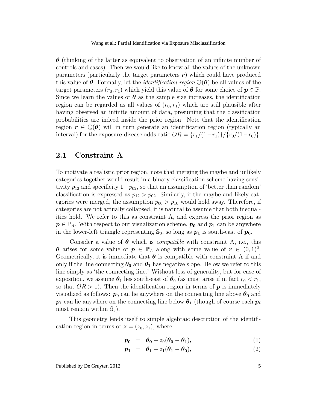$\theta$  (thinking of the latter as equivalent to observation of an infinite number of controls and cases). Then we would like to know all the values of the unknown parameters (particularly the target parameters  $\boldsymbol{r}$ ) which could have produced this value of  $\theta$ . Formally, let the *identification region*  $\mathbb{Q}(\theta)$  be all values of the target parameters  $(r_0, r_1)$  which yield this value of  $\theta$  for some choice of  $p \in \mathbb{P}$ . Since we learn the values of  $\theta$  as the sample size increases, the identification region can be regarded as all values of  $(r_0, r_1)$  which are still plausible after having observed an infinite amount of data, presuming that the classification probabilities are indeed inside the prior region. Note that the identification region  $r \in \mathbb{Q}(\theta)$  will in turn generate an identification region (typically an interval) for the exposure-disease odds-ratio  $OR = {r_1/(1-r_1)}/ {r_0/(1-r_0)}$ .

#### 2.1 Constraint A

To motivate a realistic prior region, note that merging the maybe and unlikely categories together would result in a binary classification scheme having sensitivity  $p_{12}$  and specificity  $1-p_{02}$ , so that an assumption of 'better than random' classification is expressed as  $p_{12} > p_{02}$ . Similarly, if the maybe and likely categories were merged, the assumption  $p_{00} > p_{10}$  would hold sway. Therefore, if categories are not actually collapsed, it is natural to assume that both inequalities hold. We refer to this as constraint A, and express the prior region as  $p \in \mathbb{P}_A$ . With respect to our visualization scheme,  $p_0$  and  $p_1$  can be anywhere in the lower-left triangle representing  $\mathbb{S}_3$ , so long as  $p_1$  is south-east of  $p_0$ .

Consider a value of  $\theta$  which is *compatible* with constraint A, i.e., this  $\theta$  arises for some value of  $p \in \mathbb{P}_A$  along with some value of  $r \in (0,1)^2$ . Geometrically, it is immediate that  $\theta$  is compatible with constraint A if and only if the line connecting  $\theta_0$  and  $\theta_1$  has negative slope. Below we refer to this line simply as 'the connecting line.' Without loss of generality, but for ease of exposition, we assume  $\theta_1$  lies south-east of  $\theta_0$  (as must arise if in fact  $r_0 < r_1$ , so that  $OR > 1$ ). Then the identification region in terms of  $p$  is immediately visualized as follows:  $p_0$  can lie anywhere on the connecting line above  $\theta_0$  and  $p_1$  can lie anywhere on the connecting line below  $\theta_1$  (though of course each  $p_i$ must remain within  $\mathbb{S}_3$ ).

This geometry lends itself to simple algebraic description of the identification region in terms of  $\boldsymbol{z} = (z_0, z_1)$ , where

$$
\boldsymbol{p_0} = \boldsymbol{\theta_0} + z_0(\boldsymbol{\theta_0} - \boldsymbol{\theta_1}), \qquad (1)
$$

$$
\boldsymbol{p_1} = \boldsymbol{\theta}_1 + z_1(\boldsymbol{\theta}_1 - \boldsymbol{\theta}_0), \qquad (2)
$$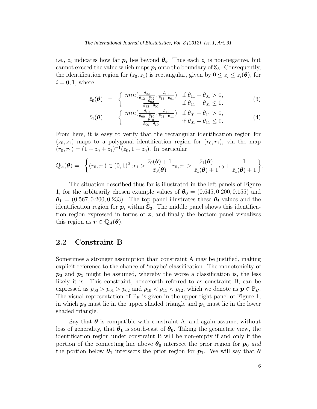i.e.,  $z_i$  indicates how far  $p_i$  lies beyond  $\theta_i$ . Thus each  $z_i$  is non-negative, but cannot exceed the value which maps  $p_i$  onto the boundary of  $\mathbb{S}_3$ . Consequently, the identification region for  $(z_0, z_1)$  is rectangular, given by  $0 \leq z_i \leq \bar{z}_i(\theta)$ , for  $i = 0, 1$ , where

$$
\bar{z}_0(\theta) = \begin{cases} \min(\frac{\theta_{02}}{\theta_{12} - \theta_{02}}, \frac{\theta_{01}}{\theta_{11} - \theta_{01}}) & \text{if } \theta_{11} - \theta_{01} > 0, \\ \frac{\theta_{02}}{\theta_{12} - \theta_{02}} & \text{if } \theta_{11} - \theta_{01} \le 0. \end{cases}
$$
 (3)

$$
\bar{z}_1(\theta) = \begin{cases} \min(\frac{\theta_{10}}{\theta_{00} - \theta_{10}}, \frac{\theta_{11}}{\theta_{01} - \theta_{11}}) & \text{if } \theta_{01} - \theta_{11} > 0, \\ \frac{\theta_{10}}{\theta_{00} - \theta_{10}} & \text{if } \theta_{01} - \theta_{11} \le 0. \end{cases}
$$
 (4)

From here, it is easy to verify that the rectangular identification region for  $(z_0, z_1)$  maps to a polygonal identification region for  $(r_0, r_1)$ , via the map  $(r_0, r_1) = (1 + z_0 + z_1)^{-1} (z_0, 1 + z_0)$ . In particular,

$$
\mathbb{Q}_A(\boldsymbol{\theta}) = \left\{ (r_0, r_1) \in (0, 1)^2 : r_1 > \frac{\overline{z}_0(\boldsymbol{\theta}) + 1}{\overline{z}_0(\boldsymbol{\theta})} r_0, r_1 > \frac{\overline{z}_1(\boldsymbol{\theta})}{\overline{z}_1(\boldsymbol{\theta}) + 1} r_0 + \frac{1}{\overline{z}_1(\boldsymbol{\theta}) + 1} \right\}.
$$

The situation described thus far is illustrated in the left panels of Figure 1, for the arbitrarily chosen example values of  $\theta_0 = (0.645, 0.200, 0.155)$  and  $\theta_1 = (0.567, 0.200, 0.233)$ . The top panel illustrates these  $\theta_i$  values and the identification region for  $p$ , within  $\mathbb{S}_3$ . The middle panel shows this identification region expressed in terms of  $z$ , and finally the bottom panel visualizes this region as  $r \in \mathbb{Q}_A(\boldsymbol{\theta})$ .

### 2.2 Constraint B

Sometimes a stronger assumption than constraint A may be justified, making explicit reference to the chance of 'maybe' classification. The monotonicity of  $p_0$  and  $p_1$  might be assumed, whereby the worse a classification is, the less likely it is. This constraint, henceforth referred to as constraint B, can be expressed as  $p_{00} > p_{01} > p_{02}$  and  $p_{10} < p_{11} < p_{12}$ , which we denote as  $p \in \mathbb{P}_B$ . The visual representation of  $\mathbb{P}_B$  is given in the upper-right panel of Figure 1, in which  $p_0$  must lie in the upper shaded triangle and  $p_1$  must lie in the lower shaded triangle.

Say that  $\theta$  is compatible with constraint A, and again assume, without loss of generality, that  $\theta_1$  is south-east of  $\theta_0$ . Taking the geometric view, the identification region under constraint B will be non-empty if and only if the portion of the connecting line above  $\theta_0$  intersect the prior region for  $p_0$  and the portion below  $\theta_1$  intersects the prior region for  $p_1$ . We will say that  $\theta$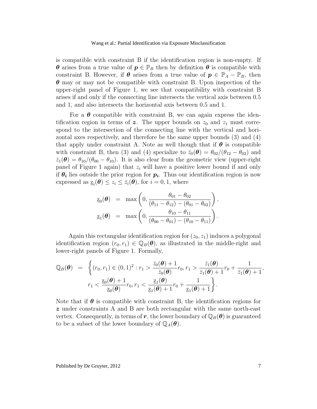is compatible with constraint B if the identification region is non-empty. If  $\theta$  arises from a true value of  $p \in \mathbb{P}_B$  then by definition  $\theta$  is compatible with constraint B. However, if  $\theta$  arises from a true value of  $p \in \mathbb{P}_A - \mathbb{P}_B$ , then  $\theta$  may or may not be compatible with constraint B. Upon inspection of the upper-right panel of Figure 1, we see that compatibility with constraint B arises if and only if the connecting line intersects the vertical axis between 0.5 and 1, and also intersects the horizontal axis between 0.5 and 1.

For a  $\theta$  compatible with constraint B, we can again express the identification region in terms of  $\boldsymbol{z}$ . The upper bounds on  $z_0$  and  $z_1$  must correspond to the intersection of the connecting line with the vertical and horizontal axes respectively, and therefore be the same upper bounds (3) and (4) that apply under constraint A. Note as well though that if  $\theta$  is compatible with constraint B, then (3) and (4) specialize to  $\bar{z}_0(\theta) = \theta_{02}/(\theta_{12} - \theta_{02})$  and  $\bar{z}_1(\theta) = \theta_{10}/(\theta_{00} - \theta_{10})$ . It is also clear from the geometric view (upper-right panel of Figure 1 again) that  $z_i$  will have a positive lower bound if and only if  $\theta_i$  lies outside the prior region for  $p_i$ . Thus our identification region is now expressed as  $\underline{z}_i(\boldsymbol{\theta}) \leq z_i \leq \overline{z}_i(\boldsymbol{\theta})$ , for  $i = 0, 1$ , where

$$
Z_0(\boldsymbol{\theta}) = \max \left(0, \frac{\theta_{01} - \theta_{02}}{(\theta_{11} - \theta_{12}) - (\theta_{01} - \theta_{02})}\right),
$$
  

$$
Z_1(\boldsymbol{\theta}) = \max \left(0, \frac{\theta_{10} - \theta_{11}}{(\theta_{00} - \theta_{01}) - (\theta_{10} - \theta_{11})}\right).
$$

Again this rectangular identification region for  $(z_0, z_1)$  induces a polygonal identification region  $(r_0, r_1) \in \mathbb{Q}_B(\theta)$ , as illustrated in the middle-right and lower-right panels of Figure 1. Formally,

$$
\mathbb{Q}_B(\boldsymbol{\theta}) = \begin{cases} (r_0, r_1) \in (0, 1)^2 : r_1 > \frac{\bar{z}_0(\boldsymbol{\theta}) + 1}{\bar{z}_0(\boldsymbol{\theta})} r_0, r_1 > \frac{\bar{z}_1(\boldsymbol{\theta})}{\bar{z}_1(\boldsymbol{\theta}) + 1} r_0 + \frac{1}{\bar{z}_1(\boldsymbol{\theta}) + 1}, \\ r_1 < \frac{\bar{z}_0(\boldsymbol{\theta}) + 1}{\bar{z}_0(\boldsymbol{\theta})} r_0, r_1 < \frac{\bar{z}_1(\boldsymbol{\theta})}{\bar{z}_1(\boldsymbol{\theta}) + 1} r_0 + \frac{1}{\bar{z}_1(\boldsymbol{\theta}) + 1} \end{cases}
$$

Note that if  $\theta$  is compatible with constraint B, the identification regions for z under constraints A and B are both rectangular with the same north-east vertex. Consequently, in terms of r, the lower boundary of  $\mathbb{Q}_B(\theta)$  is guaranteed to be a subset of the lower boundary of  $\mathbb{Q}_A(\theta)$ .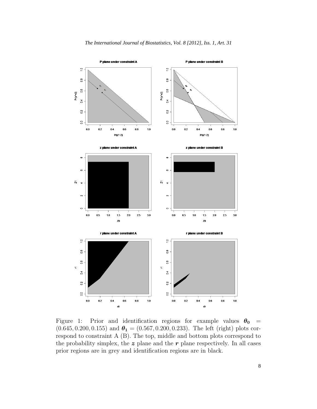

Figure 1: Prior and identification regions for example values  $\theta_0$  =  $(0.645, 0.200, 0.155)$  and  $\theta_1 = (0.567, 0.200, 0.233)$ . The left (right) plots correspond to constraint A (B). The top, middle and bottom plots correspond to the probability simplex, the  $z$  plane and the  $r$  plane respectively. In all cases prior regions are in grey and identification regions are in black.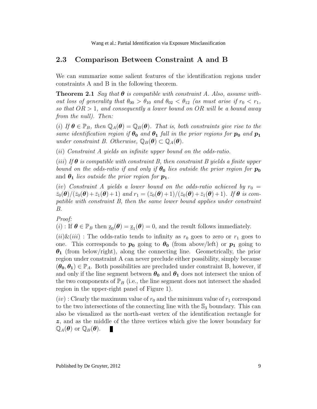### 2.3 Comparison Between Constraint A and B

We can summarize some salient features of the identification regions under constraints A and B in the following theorem.

**Theorem 2.1** Say that  $\boldsymbol{\theta}$  is compatible with constraint A. Also, assume without loss of generality that  $\theta_{00} > \theta_{10}$  and  $\theta_{02} < \theta_{12}$  (as must arise if  $r_0 < r_1$ , so that  $OR > 1$ , and consequently a lower bound on OR will be a bound away from the null). Then:

(i) If  $\theta \in \mathbb{P}_B$ , then  $\mathbb{Q}_A(\theta) = \mathbb{Q}_B(\theta)$ . That is, both constraints give rise to the same identification region if  $\theta_0$  and  $\theta_1$  fall in the prior regions for  $p_0$  and  $p_1$ under constraint B. Otherwise,  $\mathbb{Q}_B(\boldsymbol{\theta}) \subset \mathbb{Q}_A(\boldsymbol{\theta})$ .

(ii) Constraint A yields an infinite upper bound on the odds-ratio.

(iii) If  $\theta$  is compatible with constraint B, then constraint B yields a finite upper bound on the odds-ratio if and only if  $\theta_0$  lies outside the prior region for  $p_0$ and  $\theta_1$  lies outside the prior region for  $p_1$ .

(iv) Constraint A yields a lower bound on the odds-ratio achieved by  $r_0 =$  $\bar{z}_0(\boldsymbol{\theta})/(\bar{z}_0(\boldsymbol{\theta}) + \bar{z}_1(\boldsymbol{\theta}) + 1)$  and  $r_1 = (\bar{z}_0(\boldsymbol{\theta}) + 1)/(\bar{z}_0(\boldsymbol{\theta}) + \bar{z}_1(\boldsymbol{\theta}) + 1)$ . If  $\boldsymbol{\theta}$  is compatible with constraint B, then the same lower bound applies under constraint B.

Proof:

(*i*): If  $\boldsymbol{\theta} \in \mathbb{P}_B$  then  $\underline{z}_0(\boldsymbol{\theta}) = \underline{z}_1(\boldsymbol{\theta}) = 0$ , and the result follows immediately.

 $(ii) \& (iii)$ : The odds-ratio tends to infinity as  $r_0$  goes to zero or  $r_1$  goes to one. This corresponds to  $p_0$  going to  $\theta_0$  (from above/left) or  $p_1$  going to  $\theta_1$  (from below/right), along the connecting line. Geometrically, the prior region under constraint A can never preclude either possibility, simply because  $(\theta_0, \theta_1) \in \mathbb{P}_A$ . Both possibilities are precluded under constraint B, however, if and only if the line segment between  $\theta_0$  and  $\theta_1$  does not intersect the union of the two components of  $\mathbb{P}_B$  (i.e., the line segment does not intersect the shaded region in the upper-right panel of Figure 1).

 $(iv)$ : Clearly the maximum value of  $r_0$  and the minimum value of  $r_1$  correspond to the two intersections of the connecting line with the  $\mathbb{S}_3$  boundary. This can also be visualized as the north-east vertex of the identification rectangle for z, and as the middle of the three vertices which give the lower boundary for  $\mathbb{Q}_A(\boldsymbol{\theta})$  or  $\mathbb{Q}_B(\boldsymbol{\theta})$ .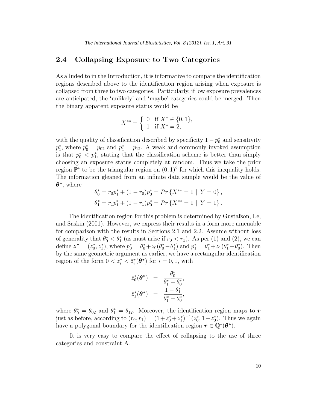### 2.4 Collapsing Exposure to Two Categories

As alluded to in the Introduction, it is informative to compare the identification regions described above to the identification region arising when exposure is collapsed from three to two categories. Particularly, if low exposure prevalences are anticipated, the 'unlikely' and 'maybe' categories could be merged. Then the binary apparent exposure status would be

$$
X^{**} = \begin{cases} 0 & \text{if } X^* \in \{0, 1\}, \\ 1 & \text{if } X^* = 2, \end{cases}
$$

with the quality of classification described by specificity  $1 - p_0^*$  and sensitivity  $p_1^*$ , where  $p_0^* = p_{02}$  and  $p_1^* = p_{12}$ . A weak and commonly invoked assumption is that  $p_0^* \leq p_1^*$ , stating that the classification scheme is better than simply choosing an exposure status completely at random. Thus we take the prior region  $\mathbb{P}^*$  to be the triangular region on  $(0,1)^2$  for which this inequality holds. The information gleaned from an infinite data sample would be the value of  $\theta^*$ , where

$$
\theta_0^* = r_0 p_1^* + (1 - r_0) p_0^* = Pr \{X^{**} = 1 \mid Y = 0\},
$$
  

$$
\theta_1^* = r_1 p_1^* + (1 - r_1) p_0^* = Pr \{X^{**} = 1 \mid Y = 1\}.
$$

The identification region for this problem is determined by Gustafson, Le, and Saskin (2001). However, we express their results in a form more amenable for comparison with the results in Sections 2.1 and 2.2. Assume without loss of generality that  $\theta_0^* < \theta_1^*$  (as must arise if  $r_0 < r_1$ ). As per (1) and (2), we can define  $\mathbf{z}^* = (z_0^*, z_1^*)$ , where  $p_0^* = \theta_0^* + z_0(\theta_0^* - \theta_1^*)$  and  $p_1^* = \theta_1^* + z_1(\theta_1^* - \theta_0^*)$ . Then by the same geometric argument as earlier, we have a rectangular identification region of the form  $0 < z_i^* < \bar{z}_i^*(\boldsymbol{\theta^*})$  for  $i = 0, 1$ , with

$$
\begin{array}{rcl}\n\bar{z}_0^*(\boldsymbol{\theta}^*) & = & \frac{\theta_0^*}{\theta_1^* - \theta_0^*}, \\
\bar{z}_1^*(\boldsymbol{\theta}^*) & = & \frac{1 - \theta_1^*}{\theta_1^* - \theta_0^*},\n\end{array}
$$

where  $\theta_0^* = \theta_{02}$  and  $\theta_1^* = \theta_{12}$ . Moreover, the identification region maps to r just as before, according to  $(r_0, r_1) = (1 + z_0^* + z_1^*)^{-1}(z_0^*, 1 + z_0^*)$ . Thus we again have a polygonal boundary for the identification region  $r \in \mathbb{Q}^*(\theta^*)$ .

It is very easy to compare the effect of collapsing to the use of three categories and constraint A.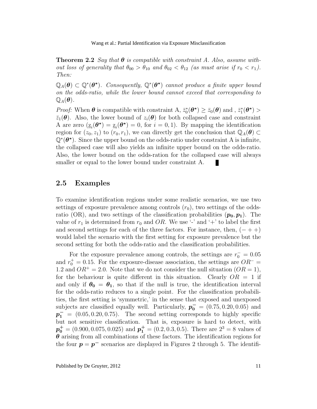**Theorem 2.2** Say that  $\theta$  is compatible with constraint A. Also, assume without loss of generality that  $\theta_{00} > \theta_{10}$  and  $\theta_{02} < \theta_{12}$  (as must arise if  $r_0 < r_1$ ). Then:

 $\mathbb{Q}_A(\theta) \subset \mathbb{Q}^*(\theta^*)$ . Consequently,  $\mathbb{Q}^*(\theta^*)$  cannot produce a finite upper bound on the odds-ratio, while the lower bound cannot exceed that corresponding to  $\mathbb{Q}_A(\boldsymbol{\theta})$ .

*Proof:* When  $\theta$  is compatible with constraint A,  $\bar{z}_0^*(\theta^*) \ge \bar{z}_0(\theta)$  and  $,\bar{z}_1^*(\theta^*)$  $\bar{z}_1(\theta)$ . Also, the lower bound of  $z_i(\theta)$  for both collapsed case and constraint A are zero  $(\underline{z}_i(\theta^*) = \underline{z}_i(\theta^*) = 0$ , for  $i = 0, 1$ . By mapping the identification region for  $(z_0, z_1)$  to  $(r_0, r_1)$ , we can directly get the conclusion that  $\mathbb{Q}_A(\theta) \subset$  $\mathbb{Q}^*(\theta^*)$ . Since the upper bound on the odds-ratio under constraint A is infinite, the collapsed case will also yields an infinite upper bound on the odds-ratio. Also, the lower bound on the odds-ration for the collapsed case will always smaller or equal to the lower bound under constraint A.

### 2.5 Examples

To examine identification regions under some realistic scenarios, we use two settings of exposure prevalence among controls  $(r_0)$ , two settings of the oddsratio (OR), and two settings of the classification probabilities  $(p_0, p_1)$ . The value of  $r_1$  is determined from  $r_0$  and OR. We use '-' and '+' to label the first and second settings for each of the three factors. For instance, then,  $(- + +)$ would label the scenario with the first setting for exposure prevalence but the second setting for both the odds-ratio and the classification probabilities.

For the exposure prevalence among controls, the settings are  $r_0^- = 0.05$ and  $r_0^+ = 0.15$ . For the exposure-disease association, the settings are  $OR^-$  = 1.2 and  $OR^+=2.0$ . Note that we do not consider the null situation  $(OR=1)$ , for the behaviour is quite different in this situation. Clearly  $OR = 1$  if and only if  $\theta_0 = \theta_1$ , so that if the null is true, the identification interval for the odds-ratio reduces to a single point. For the classification probabilities, the first setting is 'symmetric,' in the sense that exposed and unexposed subjects are classified equally well. Particularly,  $p_0^- = (0.75, 0.20, 0.05)$  and  $p_1^- = (0.05, 0.20, 0.75)$ . The second setting corresponds to highly specific but not sensitive classification. That is, exposure is hard to detect, with  $p_0^+ = (0.900, 0.075, 0.025)$  and  $p_1^+ = (0.2, 0.3, 0.5)$ . There are  $2^3 = 8$  values of  $\theta$  arising from all combinations of these factors. The identification regions for the four  $p = p^-$  scenarios are displayed in Figures 2 through 5. The identifi-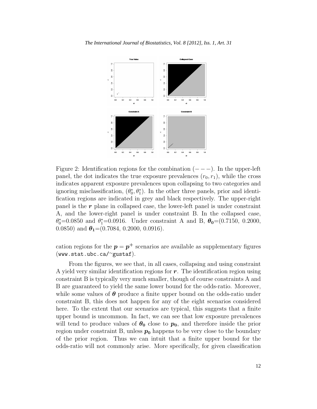

Figure 2: Identification regions for the combination  $(- - -)$ . In the upper-left panel, the dot indicates the true exposure prevalences  $(r_0, r_1)$ , while the cross indicates apparent exposure prevalences upon collapsing to two categories and ignoring misclassification,  $(\theta_0^*, \theta_1^*)$ . In the other three panels, prior and identification regions are indicated in grey and black respectively. The upper-right panel is the  $r$  plane in collapsed case, the lower-left panel is under constraint A, and the lower-right panel is under constraint B. In the collapsed case,  $\theta_0^* = 0.0850$  and  $\theta_1^* = 0.0916$ . Under constraint A and B,  $\theta_0 = (0.7150, 0.2000,$ 0.0850) and  $\theta_1 = (0.7084, 0.2000, 0.0916)$ .

cation regions for the  $p = p^+$  scenarios are available as supplementary figures (www.stat.ubc.ca/<sup>∼</sup>gustaf).

From the figures, we see that, in all cases, collapsing and using constraint A yield very similar identification regions for  $r$ . The identification region using constraint B is typically very much smaller, though of course constraints A and B are guaranteed to yield the same lower bound for the odds-ratio. Moreover, while some values of  $\theta$  produce a finite upper bound on the odds-ratio under constraint B, this does not happen for any of the eight scenarios considered here. To the extent that our scenarios are typical, this suggests that a finite upper bound is uncommon. In fact, we can see that low exposure prevalences will tend to produce values of  $\theta_0$  close to  $p_0$ , and therefore inside the prior region under constraint B, unless  $p_0$  happens to be very close to the boundary of the prior region. Thus we can intuit that a finite upper bound for the odds-ratio will not commonly arise. More specifically, for given classification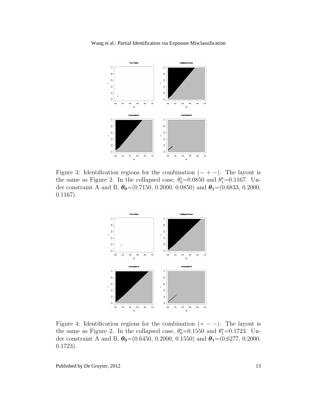

Wang et al.: Partial Identification via Exposure Misclassification

Figure 3: Identification regions for the combination  $(- + -)$ . The layout is the same as Figure 2. In the collapsed case,  $\theta_0^* = 0.0850$  and  $\theta_1^* = 0.1167$ . Under constraint A and B,  $\theta_0 = (0.7150, 0.2000, 0.0850)$  and  $\theta_1 = (0.6833, 0.2000,$ 0.1167).



Figure 4: Identification regions for the combination  $(+--)$ . The layout is the same as Figure 2. In the collapsed case,  $\theta_0^* = 0.1550$  and  $\theta_1^* = 0.1723$ . Under constraint A and B,  $\theta_0 = (0.6450, 0.2000, 0.1550)$  and  $\theta_1 = (0.6277, 0.2000,$ 0.1723).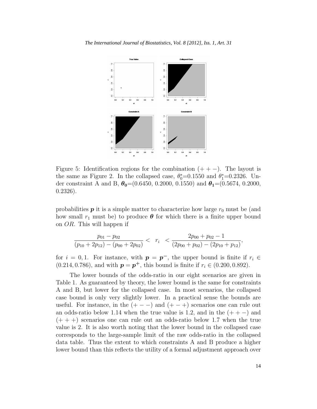

Figure 5: Identification regions for the combination  $(++)$ . The layout is the same as Figure 2. In the collapsed case,  $\theta_0^* = 0.1550$  and  $\theta_1^* = 0.2326$ . Under constraint A and B,  $\theta_0 = (0.6450, 0.2000, 0.1550)$  and  $\theta_1 = (0.5674, 0.2000,$ 0.2326).

probabilities  $p$  it is a simple matter to characterize how large  $r_0$  must be (and how small  $r_1$  must be) to produce  $\theta$  for which there is a finite upper bound on OR. This will happen if

$$
\frac{p_{01} - p_{02}}{(p_{10} + 2p_{12}) - (p_{00} + 2p_{02})} < r_i < \frac{2p_{00} + p_{02} - 1}{(2p_{00} + p_{02}) - (2p_{10} + p_{12})},
$$

for  $i = 0, 1$ . For instance, with  $p = p^{-}$ , the upper bound is finite if  $r_i \in$  $(0.214, 0.786)$ , and with  $p = p^{+}$ , this bound is finite if  $r_i \in (0.200, 0.892)$ .

The lower bounds of the odds-ratio in our eight scenarios are given in Table 1. As guaranteed by theory, the lower bound is the same for constraints A and B, but lower for the collapsed case. In most scenarios, the collapsed case bound is only very slightly lower. In a practical sense the bounds are useful. For instance, in the  $(+ - -)$  and  $(+ - +)$  scenarios one can rule out an odds-ratio below 1.14 when the true value is 1.2, and in the  $(+ + -)$  and  $(++)$  scenarios one can rule out an odds-ratio below 1.7 when the true value is 2. It is also worth noting that the lower bound in the collapsed case corresponds to the large-sample limit of the raw odds-ratio in the collapsed data table. Thus the extent to which constraints A and B produce a higher lower bound than this reflects the utility of a formal adjustment approach over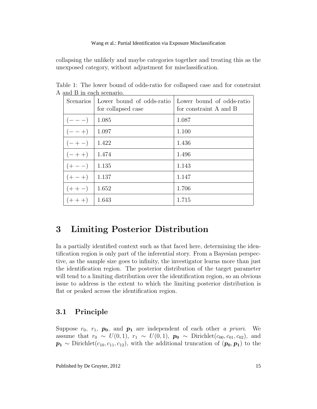collapsing the unlikely and maybe categories together and treating this as the unexposed category, without adjustment for misclassification.

| Scenarios | Lower bound of odds-ratio<br>for collapsed case | Lower bound of odds-ratio<br>for constraint A and B |
|-----------|-------------------------------------------------|-----------------------------------------------------|
| $(- - -)$ | 1.085                                           | 1.087                                               |
| $(- - +)$ | 1.097                                           | 1.100                                               |
| $(- + -)$ | 1.422                                           | 1.436                                               |
| $(- + +)$ | 1.474                                           | 1.496                                               |
| $(+ - -)$ | 1.135                                           | 1.143                                               |
| $(+ - +)$ | 1.137                                           | 1.147                                               |
| $(+ + -)$ | 1.652                                           | 1.706                                               |
| $(+ + +)$ | 1.643                                           | 1.715                                               |

Table 1: The lower bound of odds-ratio for collapsed case and for constraint A and B in each scenario.

## 3 Limiting Posterior Distribution

In a partially identified context such as that faced here, determining the identification region is only part of the inferential story. From a Bayesian perspective, as the sample size goes to infinity, the investigator learns more than just the identification region. The posterior distribution of the target parameter will tend to a limiting distribution over the identification region, so an obvious issue to address is the extent to which the limiting posterior distribution is flat or peaked across the identification region.

### 3.1 Principle

Suppose  $r_0$ ,  $r_1$ ,  $p_0$ , and  $p_1$  are independent of each other a priori. We assume that  $r_0 \sim U(0, 1)$ ,  $r_1 \sim U(0, 1)$ ,  $p_0 \sim$  Dirichlet $(c_{00}, c_{01}, c_{02})$ , and  $p_1 \sim$  Dirichlet( $c_{10}, c_{11}, c_{12}$ ), with the additional truncation of  $(p_0, p_1)$  to the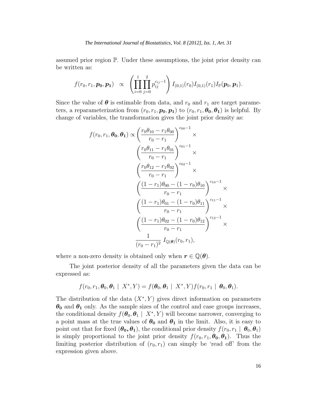assumed prior region  $\mathbb{P}$ . Under these assumptions, the joint prior density can be written as:

$$
f(r_0, r_1, \mathbf{p_0}, \mathbf{p_1}) \propto \left( \prod_{i=0}^1 \prod_{j=0}^2 p_{ij}^{c_{ij}-1} \right) I_{(0,1)}(r_0) I_{(0,1)}(r_1) I_{\mathbb{P}}(\mathbf{p_0}, \mathbf{p_1}).
$$

Since the value of  $\theta$  is estimable from data, and  $r_0$  and  $r_1$  are target parameters, a reparameterization from  $(r_0, r_1, p_0, p_1)$  to  $(r_0, r_1, \theta_0, \theta_1)$  is helpful. By change of variables, the transformation gives the joint prior density as:

$$
f(r_0, r_1, \theta_0, \theta_1) \propto \left(\frac{r_0 \theta_{10} - r_1 \theta_{00}}{r_0 - r_1}\right)^{c_0 - 1} \times \n\left(\frac{r_0 \theta_{11} - r_1 \theta_{01}}{r_0 - r_1}\right)^{c_0 - 1} \times \n\left(\frac{r_0 \theta_{12} - r_1 \theta_{02}}{r_0 - r_1}\right)^{c_0 - 1} \times \n\left(\frac{(1 - r_1)\theta_{00} - (1 - r_0)\theta_{10}}{r_0 - r_1}\right)^{c_1 - 1} \times \n\left(\frac{(1 - r_1)\theta_{01} - (1 - r_0)\theta_{11}}{r_0 - r_1}\right)^{c_1 - 1} \times \n\left(\frac{(1 - r_1)\theta_{02} - (1 - r_0)\theta_{12}}{r_0 - r_1}\right)^{c_1 - 1} \times \n\frac{1}{(r_0 - r_1)^2} I_{\mathbb{Q}(\theta)}(r_0, r_1),
$$

where a non-zero density is obtained only when  $r \in \mathbb{Q}(\theta)$ .

The joint posterior density of all the parameters given the data can be expressed as:

$$
f(r_0,r_1,\boldsymbol{\theta}_0,\boldsymbol{\theta}_1\mid X^*,Y)=f(\boldsymbol{\theta}_0,\boldsymbol{\theta}_1\mid X^*,Y)f(r_0,r_1\mid \boldsymbol{\theta}_0,\boldsymbol{\theta}_1).
$$

The distribution of the data  $(X^*, Y)$  gives direct information on parameters  $\theta_0$  and  $\theta_1$  only. As the sample sizes of the control and case groups increases, the conditional density  $f(\theta_0, \theta_1 | X^*, Y)$  will become narrower, converging to a point mass at the true values of  $\theta_0$  and  $\theta_1$  in the limit. Also, it is easy to point out that for fixed  $(\theta_0, \theta_1)$ , the conditional prior density  $f(r_0, r_1 | \theta_0, \theta_1)$ is simply proportional to the joint prior density  $f(r_0, r_1, \theta_0, \theta_1)$ . Thus the limiting posterior distribution of  $(r_0, r_1)$  can simply be 'read off' from the expression given above.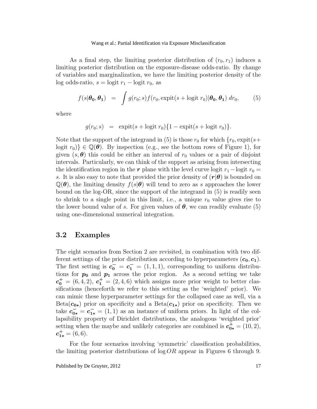As a final step, the limiting posterior distribution of  $(r_0, r_1)$  induces a limiting posterior distribution on the exposure-disease odds-ratio. By change of variables and marginalization, we have the limiting posterior density of the log odds-ratio,  $s =$  logit  $r_1$  – logit  $r_0$ , as

$$
f(s|\boldsymbol{\theta_0}, \boldsymbol{\theta_1}) = \int g(r_0; s) f(r_0, \text{expit}(s + \text{logit } r_0) | \boldsymbol{\theta_0}, \boldsymbol{\theta_1}) \, dr_0, \qquad (5)
$$

where

$$
g(r_0; s) = \operatorname{expit}(s + \operatorname{logit} r_0) \{1 - \operatorname{expit}(s + \operatorname{logit} r_0)\}.
$$

Note that the support of the integrand in (5) is those  $r_0$  for which  $\{r_0, \text{expit}(s+\)$ logit  $r_0$ }  $\in \mathbb{Q}(\theta)$ . By inspection (e.g., see the bottom rows of Figure 1), for given  $(s, \theta)$  this could be either an interval of  $r_0$  values or a pair of disjoint intervals. Particularly, we can think of the support as arising from intersecting the identification region in the r plane with the level curve logit  $r_1$  – logit  $r_0$  = s. It is also easy to note that provided the prior density of  $(r|\theta)$  is bounded on  $\mathbb{Q}(\boldsymbol{\theta})$ , the limiting density  $f(s|\boldsymbol{\theta})$  will tend to zero as s approaches the lower bound on the log-OR, since the support of the integrand in (5) is readily seen to shrink to a single point in this limit, i.e., a unique  $r_0$  value gives rise to the lower bound value of s. For given values of  $\theta$ , we can readily evaluate (5) using one-dimensional numerical integration.

#### 3.2 Examples

The eight scenarios from Section 2 are revisited, in combination with two different settings of the prior distribution according to hyperparameters  $(c_0, c_1)$ . The first setting is  $c_0^- = c_1^- = (1, 1, 1)$ , corresponding to uniform distributions for  $p_0$  and  $p_1$  across the prior region. As a second setting we take  $\mathbf{c}_0^+ = (6, 4, 2), \, \mathbf{c}_1^+ = (2, 4, 6)$  which assigns more prior weight to better classifications (henceforth we refer to this setting as the 'weighted' prior). We can mimic these hyperparameter settings for the collapsed case as well, via a Beta $(c_{0*})$  prior on specificity and a Beta $(c_{1*})$  prior on specificity. Then we take  $c_{0*}^- = c_{1*}^- = (1, 1)$  as an instance of uniform priors. In light of the collapsibility property of Dirichlet distributions, the analogous 'weighted prior' setting when the maybe and unlikely categories are combined is  $c_{0*}^+ = (10, 2)$ ,  $c_{1*}^+ = (6,6).$ 

For the four scenarios involving 'symmetric' classification probabilities, the limiting posterior distributions of  $\log OR$  appear in Figures 6 through 9.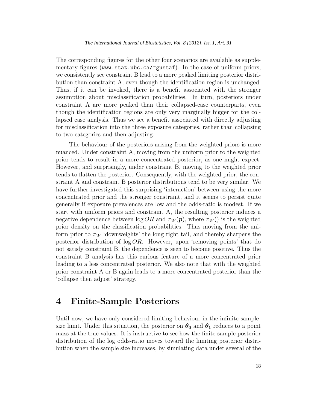The corresponding figures for the other four scenarios are available as supplementary figures (www.stat.ubc.ca/<sup>∼</sup>gustaf). In the case of uniform priors, we consistently see constraint B lead to a more peaked limiting posterior distribution than constraint A, even though the identification region is unchanged. Thus, if it can be invoked, there is a benefit associated with the stronger assumption about misclassification probabilities. In turn, posteriors under constraint A are more peaked than their collapsed-case counterparts, even though the identification regions are only very marginally bigger for the collapsed case analysis. Thus we see a benefit associated with directly adjusting for misclassification into the three exposure categories, rather than collapsing to two categories and then adjusting.

The behaviour of the posteriors arising from the weighted priors is more nuanced. Under constraint A, moving from the uniform prior to the weighted prior tends to result in a more concentrated posterior, as one might expect. However, and surprisingly, under constraint B, moving to the weighted prior tends to flatten the posterior. Consequently, with the weighted prior, the constraint A and constraint B posterior distributions tend to be very similar. We have further investigated this surprising 'interaction' between using the more concentrated prior and the stronger constraint, and it seems to persist quite generally if exposure prevalences are low and the odds-ratio is modest. If we start with uniform priors and constraint A, the resulting posterior induces a negative dependence between  $\log OR$  and  $\pi_W(\mathbf{p})$ , where  $\pi_W()$  is the weighted prior density on the classification probabilities. Thus moving from the uniform prior to  $\pi_W$  'downweights' the long right tail, and thereby sharpens the posterior distribution of  $\log OR$ . However, upon 'removing points' that do not satisfy constraint B, the dependence is seen to become positive. Thus the constraint B analysis has this curious feature of a more concentrated prior leading to a less concentrated posterior. We also note that with the weighted prior constraint A or B again leads to a more concentrated posterior than the 'collapse then adjust' strategy.

## 4 Finite-Sample Posteriors

Until now, we have only considered limiting behaviour in the infinite samplesize limit. Under this situation, the posterior on  $\theta_0$  and  $\theta_1$  reduces to a point mass at the true values. It is instructive to see how the finite-sample posterior distribution of the log odds-ratio moves toward the limiting posterior distribution when the sample size increases, by simulating data under several of the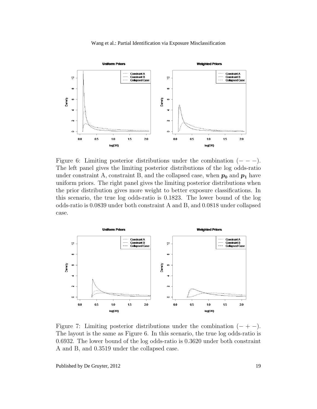

Figure 6: Limiting posterior distributions under the combination  $(- - -)$ . The left panel gives the limiting posterior distributions of the log odds-ratio under constraint A, constraint B, and the collapsed case, when  $p_0$  and  $p_1$  have uniform priors. The right panel gives the limiting posterior distributions when the prior distribution gives more weight to better exposure classifications. In this scenario, the true log odds-ratio is 0.1823. The lower bound of the log odds-ratio is 0.0839 under both constraint A and B, and 0.0818 under collapsed case.



Figure 7: Limiting posterior distributions under the combination  $(- + -)$ . The layout is the same as Figure 6. In this scenario, the true log odds-ratio is 0.6932. The lower bound of the log odds-ratio is 0.3620 under both constraint A and B, and 0.3519 under the collapsed case.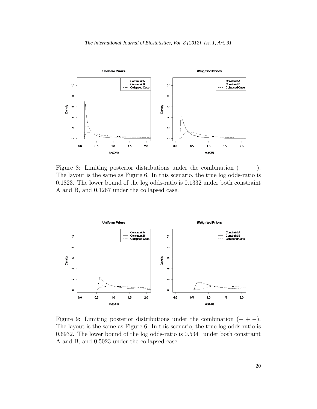

Figure 8: Limiting posterior distributions under the combination  $(+--)$ . The layout is the same as Figure 6. In this scenario, the true log odds-ratio is 0.1823. The lower bound of the log odds-ratio is 0.1332 under both constraint A and B, and 0.1267 under the collapsed case.



Figure 9: Limiting posterior distributions under the combination  $(++)$ . The layout is the same as Figure 6. In this scenario, the true log odds-ratio is 0.6932. The lower bound of the log odds-ratio is 0.5341 under both constraint A and B, and 0.5023 under the collapsed case.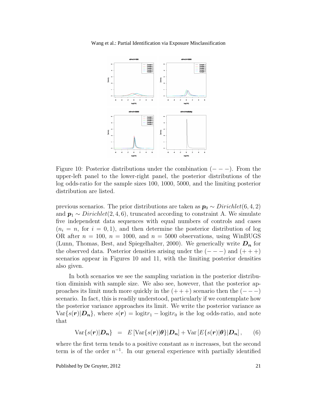

Figure 10: Posterior distributions under the combination  $(- - -)$ . From the upper-left panel to the lower-right panel, the posterior distributions of the log odds-ratio for the sample sizes 100, 1000, 5000, and the limiting posterior distribution are listed.

previous scenarios. The prior distributions are taken as  $p_0 \sim Dirichlet(6, 4, 2)$ and  $p_1 \sim Dirichlet(2, 4, 6)$ , truncated according to constraint A. We simulate five independent data sequences with equal numbers of controls and cases  $(n_i = n, \text{ for } i = 0, 1)$ , and then determine the posterior distribution of log OR after  $n = 100$ ,  $n = 1000$ , and  $n = 5000$  observations, using WinBUGS (Lunn, Thomas, Best, and Spiegelhalter, 2000). We generically write  $D_n$  for the observed data. Posterior densities arising under the  $(- - -)$  and  $(+ + +)$ scenarios appear in Figures 10 and 11, with the limiting posterior densities also given.

In both scenarios we see the sampling variation in the posterior distribution diminish with sample size. We also see, however, that the posterior approaches its limit much more quickly in the  $(++)$  scenario then the  $(---)$ scenario. In fact, this is readily understood, particularly if we contemplate how the posterior variance approaches its limit. We write the posterior variance as  $Var\{s(r)|D_n\}$ , where  $s(r) = logitr_1 - logitr_0$  is the log odds-ratio, and note that

$$
\text{Var}\{s(\boldsymbol{r})|\boldsymbol{D}_{\boldsymbol{n}}\} = E\left[\text{Var}\{s(\boldsymbol{r})|\boldsymbol{\theta}\}|\boldsymbol{D}_{\boldsymbol{n}}\right] + \text{Var}\left[E\{s(\boldsymbol{r})|\boldsymbol{\theta}\}|\boldsymbol{D}_{\boldsymbol{n}}\right],\qquad(6)
$$

where the first term tends to a positive constant as  $n$  increases, but the second term is of the order  $n^{-1}$ . In our general experience with partially identified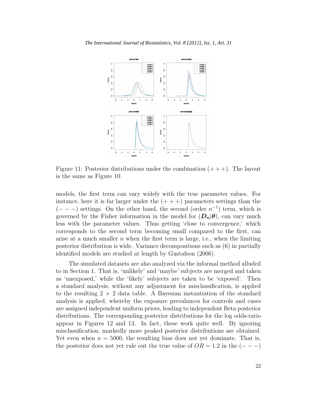

Figure 11: Posterior distributions under the combination  $(++)$ . The layout is the same as Figure 10.

models, the first term can vary widely with the true parameter values. For instance, here it is far larger under the  $(+ + +)$  parameters settings than the  $(- - -)$  settings. On the other hand, the second (order  $n^{-1}$ ) term, which is governed by the Fisher information in the model for  $(D_n|\theta)$ , can vary much less with the parameter values. Thus getting 'close to convergence,' which corresponds to the second term becoming small compared to the first, can arise at a much smaller  $n$  when the first term is large, i.e., when the limiting posterior distribution is wide. Variance decompositions such as (6) in partially identified models are studied at length by Gustafson (2006).

The simulated datasets are also analyzed via the informal method alluded to in Section 1. That is, 'unlikely' and 'maybe' subjects are merged and taken as 'unexposed,' while the 'likely' subjects are taken to be 'exposed'. Then a standard analysis, without any adjustment for misclassification, is applied to the resulting  $2 \times 2$  data table. A Bayesian instantiation of the standard analysis is applied, whereby the exposure prevalances for controls and cases are assigned independent uniform priors, leading to independent Beta posterior distributions. The corresponding posterior distributions for the log odds-ratio appear in Figures 12 and 13. In fact, these work quite well. By ignoring misclassification, markedly more peaked posterior distributions are obtained. Yet even when  $n = 5000$ , the resulting bias does not yet dominate. That is, the posterior does not yet rule out the true value of  $OR = 1.2$  in the  $(- - -)$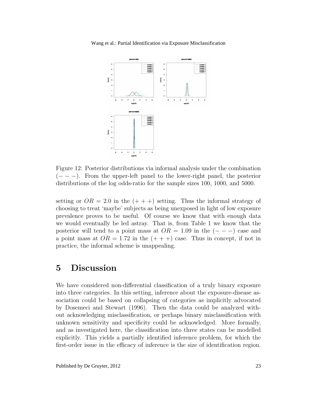

Figure 12: Posterior distributions via informal analysis under the combination  $(- - -)$ . From the upper-left panel to the lower-right panel, the posterior distributions of the log odds-ratio for the sample sizes 100, 1000, and 5000.

setting or  $OR = 2.0$  in the  $(++)$  setting. Thus the informal strategy of choosing to treat 'maybe' subjects as being unexposed in light of low exposure prevalence proves to be useful. Of course we know that with enough data we would eventually be led astray. That is, from Table 1 we know that the posterior will tend to a point mass at  $OR = 1.09$  in the  $(- - -)$  case and a point mass at  $OR = 1.72$  in the  $(++)$  case. Thus in concept, if not in practice, the informal scheme is unappealing.

## 5 Discussion

We have considered non-differential classification of a truly binary exposure into three categories. In this setting, inference about the exposure-disease association could be based on collapsing of categories as implicitly advocated by Dosemeci and Stewart (1996). Then the data could be analyzed without acknowledging misclassification, or perhaps binary misclassification with unknown sensitivity and specificity could be acknowledged. More formally, and as investigated here, the classification into three states can be modelled explicitly. This yields a partially identified inference problem, for which the first-order issue in the efficacy of inference is the size of identification region.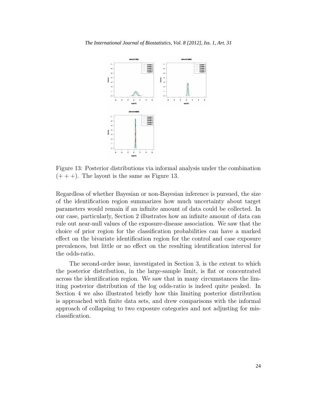

Figure 13: Posterior distributions via informal analysis under the combination  $(+ + +)$ . The layout is the same as Figure 13.

Regardless of whether Bayesian or non-Bayesian inference is pursued, the size of the identification region summarizes how much uncertainty about target parameters would remain if an infinite amount of data could be collected. In our case, particularly, Section 2 illustrates how an infinite amount of data can rule out near-null values of the exposure-disease association. We saw that the choice of prior region for the classification probabilities can have a marked effect on the bivariate identification region for the control and case exposure prevalences, but little or no effect on the resulting identification interval for the odds-ratio.

The second-order issue, investigated in Section 3, is the extent to which the posterior distribution, in the large-sample limit, is flat or concentrated across the identification region. We saw that in many circumstances the limiting posterior distribution of the log odds-ratio is indeed quite peaked. In Section 4 we also illustrated briefly how this limiting posterior distribution is approached with finite data sets, and drew comparisons with the informal approach of collapsing to two exposure categories and not adjusting for misclassification.